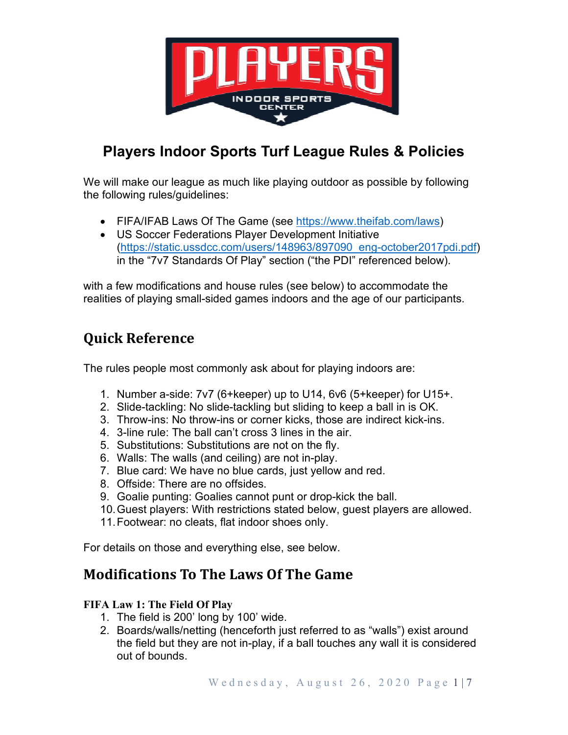

# **Players Indoor Sports Turf League Rules & Policies**

We will make our league as much like playing outdoor as possible by following the following rules/guidelines:

- FIFA/IFAB Laws Of The Game (see https://www.theifab.com/laws)
- US Soccer Federations Player Development Initiative (https://static.ussdcc.com/users/148963/897090\_eng-october2017pdi.pdf) in the "7v7 Standards Of Play" section ("the PDI" referenced below).

with a few modifications and house rules (see below) to accommodate the realities of playing small-sided games indoors and the age of our participants.

# **Quick Reference**

The rules people most commonly ask about for playing indoors are:

- 1. Number a-side: 7v7 (6+keeper) up to U14, 6v6 (5+keeper) for U15+.
- 2. Slide-tackling: No slide-tackling but sliding to keep a ball in is OK.
- 3. Throw-ins: No throw-ins or corner kicks, those are indirect kick-ins.
- 4. 3-line rule: The ball can't cross 3 lines in the air.
- 5. Substitutions: Substitutions are not on the fly.
- 6. Walls: The walls (and ceiling) are not in-play.
- 7. Blue card: We have no blue cards, just yellow and red.
- 8. Offside: There are no offsides.
- 9. Goalie punting: Goalies cannot punt or drop-kick the ball.
- 10. Guest players: With restrictions stated below, guest players are allowed.
- 11. Footwear: no cleats, flat indoor shoes only.

For details on those and everything else, see below.

# **Modifications To The Laws Of The Game**

# **FIFA Law 1: The Field Of Play**

- 1. The field is 200' long by 100' wide.
- 2. Boards/walls/netting (henceforth just referred to as "walls") exist around the field but they are not in-play, if a ball touches any wall it is considered out of bounds.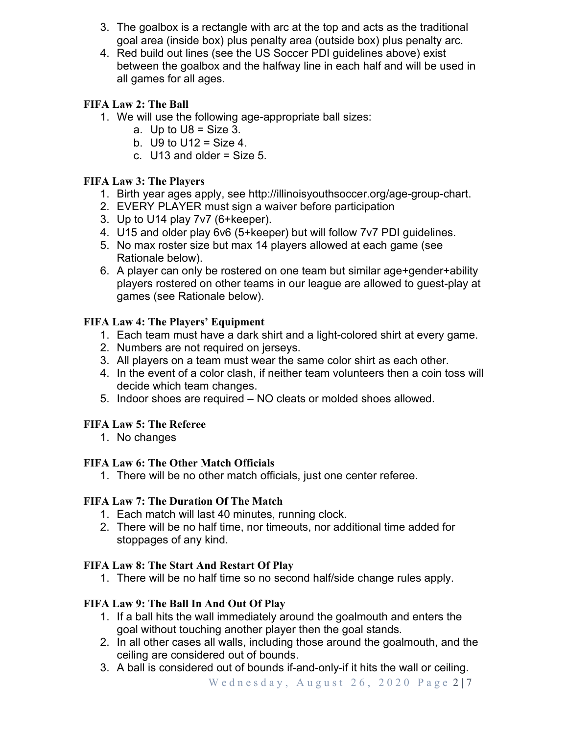- 3. The goalbox is a rectangle with arc at the top and acts as the traditional goal area (inside box) plus penalty area (outside box) plus penalty arc.
- 4. Red build out lines (see the US Soccer PDI guidelines above) exist between the goalbox and the halfway line in each half and will be used in all games for all ages.

# **FIFA Law 2: The Ball**

- 1. We will use the following age-appropriate ball sizes:
	- a. Up to  $U8 = Size 3$ .
	- b.  $U9$  to  $U12 = Size 4$ .
	- c.  $U13$  and older = Size 5.

# **FIFA Law 3: The Players**

- 1. Birth year ages apply, see http://illinoisyouthsoccer.org/age-group-chart.
- 2. EVERY PLAYER must sign a waiver before participation
- 3. Up to U14 play 7v7 (6+keeper).
- 4. U15 and older play 6v6 (5+keeper) but will follow 7v7 PDI guidelines.
- 5. No max roster size but max 14 players allowed at each game (see Rationale below).
- 6. A player can only be rostered on one team but similar age+gender+ability players rostered on other teams in our league are allowed to guest-play at games (see Rationale below).

# **FIFA Law 4: The Players' Equipment**

- 1. Each team must have a dark shirt and a light-colored shirt at every game.
- 2. Numbers are not required on jerseys.
- 3. All players on a team must wear the same color shirt as each other.
- 4. In the event of a color clash, if neither team volunteers then a coin toss will decide which team changes.
- 5. Indoor shoes are required NO cleats or molded shoes allowed.

# **FIFA Law 5: The Referee**

1. No changes

# **FIFA Law 6: The Other Match Officials**

1. There will be no other match officials, just one center referee.

# **FIFA Law 7: The Duration Of The Match**

- 1. Each match will last 40 minutes, running clock.
- 2. There will be no half time, nor timeouts, nor additional time added for stoppages of any kind.

# **FIFA Law 8: The Start And Restart Of Play**

1. There will be no half time so no second half/side change rules apply.

# **FIFA Law 9: The Ball In And Out Of Play**

- 1. If a ball hits the wall immediately around the goalmouth and enters the goal without touching another player then the goal stands.
- 2. In all other cases all walls, including those around the goalmouth, and the ceiling are considered out of bounds.
- 3. A ball is considered out of bounds if-and-only-if it hits the wall or ceiling.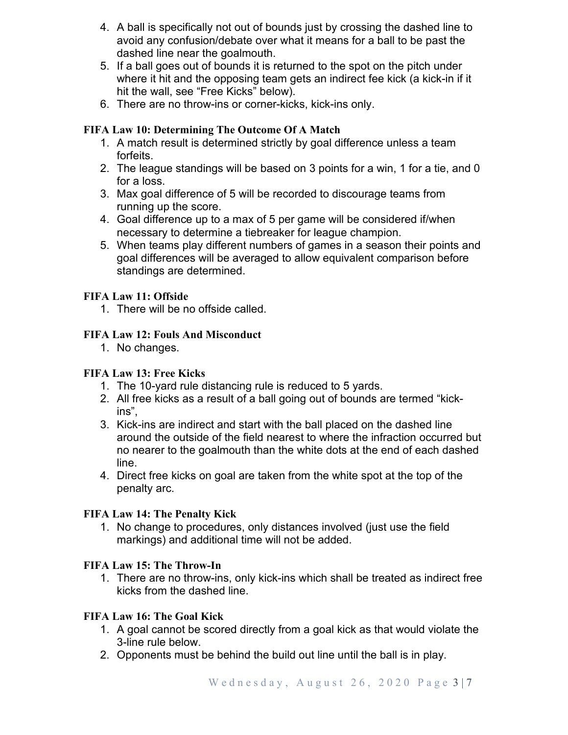- 4. A ball is specifically not out of bounds just by crossing the dashed line to avoid any confusion/debate over what it means for a ball to be past the dashed line near the goalmouth.
- 5. If a ball goes out of bounds it is returned to the spot on the pitch under where it hit and the opposing team gets an indirect fee kick (a kick-in if it hit the wall, see "Free Kicks" below).
- 6. There are no throw-ins or corner-kicks, kick-ins only.

### **FIFA Law 10: Determining The Outcome Of A Match**

- 1. A match result is determined strictly by goal difference unless a team forfeits.
- 2. The league standings will be based on 3 points for a win, 1 for a tie, and 0 for a loss.
- 3. Max goal difference of 5 will be recorded to discourage teams from running up the score.
- 4. Goal difference up to a max of 5 per game will be considered if/when necessary to determine a tiebreaker for league champion.
- 5. When teams play different numbers of games in a season their points and goal differences will be averaged to allow equivalent comparison before standings are determined.

### **FIFA Law 11: Offside**

1. There will be no offside called.

### **FIFA Law 12: Fouls And Misconduct**

1. No changes.

### **FIFA Law 13: Free Kicks**

- 1. The 10-yard rule distancing rule is reduced to 5 yards.
- 2. All free kicks as a result of a ball going out of bounds are termed "kickins",
- 3. Kick-ins are indirect and start with the ball placed on the dashed line around the outside of the field nearest to where the infraction occurred but no nearer to the goalmouth than the white dots at the end of each dashed line.
- 4. Direct free kicks on goal are taken from the white spot at the top of the penalty arc.

### **FIFA Law 14: The Penalty Kick**

1. No change to procedures, only distances involved (just use the field markings) and additional time will not be added.

### **FIFA Law 15: The Throw-In**

1. There are no throw-ins, only kick-ins which shall be treated as indirect free kicks from the dashed line.

# **FIFA Law 16: The Goal Kick**

- 1. A goal cannot be scored directly from a goal kick as that would violate the 3-line rule below.
- 2. Opponents must be behind the build out line until the ball is in play.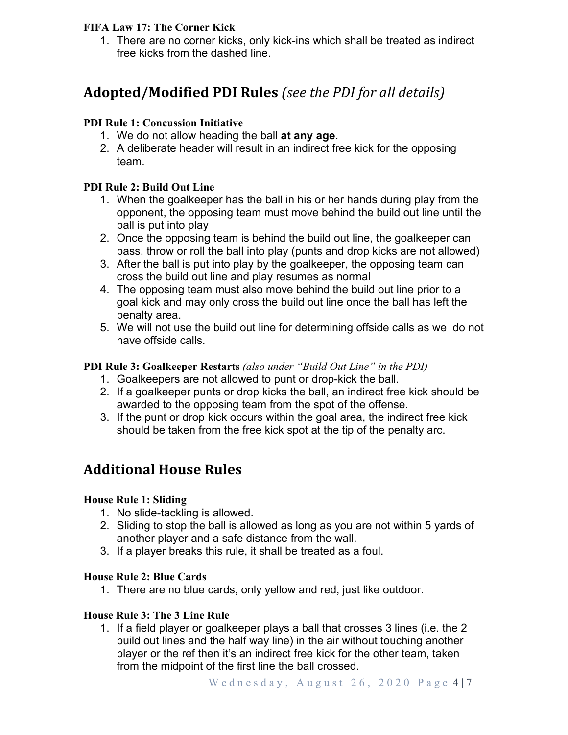### **FIFA Law 17: The Corner Kick**

1. There are no corner kicks, only kick-ins which shall be treated as indirect free kicks from the dashed line.

# **Adopted/Modified PDI Rules** *(see the PDI for all details)*

### **PDI Rule 1: Concussion Initiative**

- 1. We do not allow heading the ball **at any age**.
- 2. A deliberate header will result in an indirect free kick for the opposing team.

### **PDI Rule 2: Build Out Line**

- 1. When the goalkeeper has the ball in his or her hands during play from the opponent, the opposing team must move behind the build out line until the ball is put into play
- 2. Once the opposing team is behind the build out line, the goalkeeper can pass, throw or roll the ball into play (punts and drop kicks are not allowed)
- 3. After the ball is put into play by the goalkeeper, the opposing team can cross the build out line and play resumes as normal
- 4. The opposing team must also move behind the build out line prior to a goal kick and may only cross the build out line once the ball has left the penalty area.
- 5. We will not use the build out line for determining offside calls as we do not have offside calls.

#### **PDI Rule 3: Goalkeeper Restarts** *(also under "Build Out Line" in the PDI)*

- 1. Goalkeepers are not allowed to punt or drop-kick the ball.
- 2. If a goalkeeper punts or drop kicks the ball, an indirect free kick should be awarded to the opposing team from the spot of the offense.
- 3. If the punt or drop kick occurs within the goal area, the indirect free kick should be taken from the free kick spot at the tip of the penalty arc.

# **Additional House Rules**

### **House Rule 1: Sliding**

- 1. No slide-tackling is allowed.
- 2. Sliding to stop the ball is allowed as long as you are not within 5 yards of another player and a safe distance from the wall.
- 3. If a player breaks this rule, it shall be treated as a foul.

### **House Rule 2: Blue Cards**

1. There are no blue cards, only yellow and red, just like outdoor.

### **House Rule 3: The 3 Line Rule**

1. If a field player or goalkeeper plays a ball that crosses 3 lines (i.e. the 2 build out lines and the half way line) in the air without touching another player or the ref then it's an indirect free kick for the other team, taken from the midpoint of the first line the ball crossed.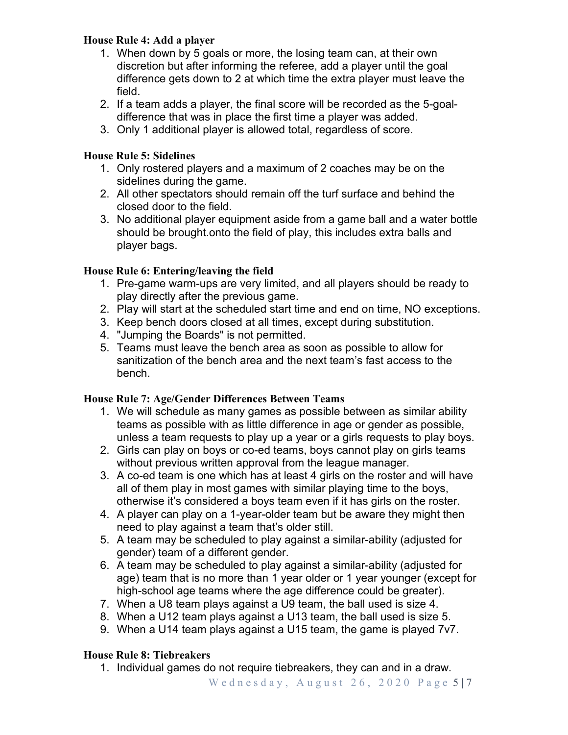# **House Rule 4: Add a player**

- 1. When down by 5 goals or more, the losing team can, at their own discretion but after informing the referee, add a player until the goal difference gets down to 2 at which time the extra player must leave the field.
- 2. If a team adds a player, the final score will be recorded as the 5-goaldifference that was in place the first time a player was added.
- 3. Only 1 additional player is allowed total, regardless of score.

# **House Rule 5: Sidelines**

- 1. Only rostered players and a maximum of 2 coaches may be on the sidelines during the game.
- 2. All other spectators should remain off the turf surface and behind the closed door to the field.
- 3. No additional player equipment aside from a game ball and a water bottle should be brought.onto the field of play, this includes extra balls and player bags.

# **House Rule 6: Entering/leaving the field**

- 1. Pre-game warm-ups are very limited, and all players should be ready to play directly after the previous game.
- 2. Play will start at the scheduled start time and end on time, NO exceptions.
- 3. Keep bench doors closed at all times, except during substitution.
- 4. "Jumping the Boards" is not permitted.
- 5. Teams must leave the bench area as soon as possible to allow for sanitization of the bench area and the next team's fast access to the bench.

# **House Rule 7: Age/Gender Differences Between Teams**

- 1. We will schedule as many games as possible between as similar ability teams as possible with as little difference in age or gender as possible, unless a team requests to play up a year or a girls requests to play boys.
- 2. Girls can play on boys or co-ed teams, boys cannot play on girls teams without previous written approval from the league manager.
- 3. A co-ed team is one which has at least 4 girls on the roster and will have all of them play in most games with similar playing time to the boys, otherwise it's considered a boys team even if it has girls on the roster.
- 4. A player can play on a 1-year-older team but be aware they might then need to play against a team that's older still.
- 5. A team may be scheduled to play against a similar-ability (adjusted for gender) team of a different gender.
- 6. A team may be scheduled to play against a similar-ability (adjusted for age) team that is no more than 1 year older or 1 year younger (except for high-school age teams where the age difference could be greater).
- 7. When a U8 team plays against a U9 team, the ball used is size 4.
- 8. When a U12 team plays against a U13 team, the ball used is size 5.
- 9. When a U14 team plays against a U15 team, the game is played 7v7.

# **House Rule 8: Tiebreakers**

1. Individual games do not require tiebreakers, they can and in a draw.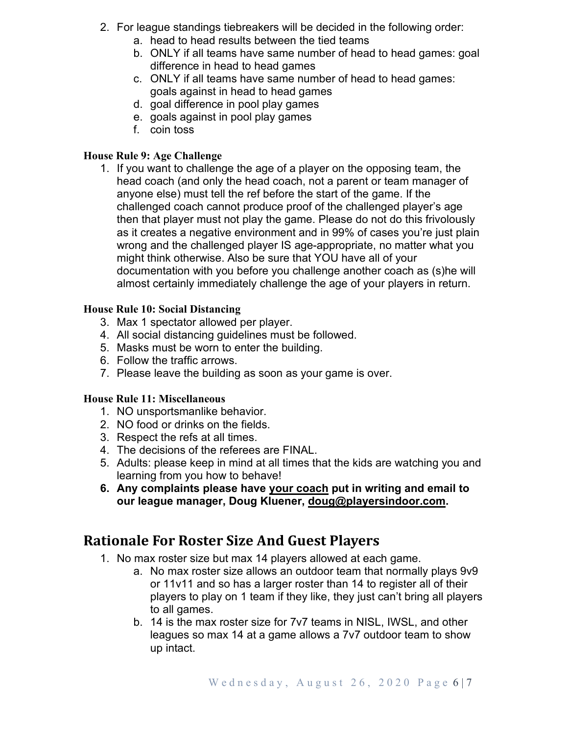- 2. For league standings tiebreakers will be decided in the following order:
	- a. head to head results between the tied teams
	- b. ONLY if all teams have same number of head to head games: goal difference in head to head games
	- c. ONLY if all teams have same number of head to head games: goals against in head to head games
	- d. goal difference in pool play games
	- e. goals against in pool play games
	- f. coin toss

# **House Rule 9: Age Challenge**

1. If you want to challenge the age of a player on the opposing team, the head coach (and only the head coach, not a parent or team manager of anyone else) must tell the ref before the start of the game. If the challenged coach cannot produce proof of the challenged player's age then that player must not play the game. Please do not do this frivolously as it creates a negative environment and in 99% of cases you're just plain wrong and the challenged player IS age-appropriate, no matter what you might think otherwise. Also be sure that YOU have all of your documentation with you before you challenge another coach as (s)he will almost certainly immediately challenge the age of your players in return.

# **House Rule 10: Social Distancing**

- 3. Max 1 spectator allowed per player.
- 4. All social distancing guidelines must be followed.
- 5. Masks must be worn to enter the building.
- 6. Follow the traffic arrows.
- 7. Please leave the building as soon as your game is over.

# **House Rule 11: Miscellaneous**

- 1. NO unsportsmanlike behavior.
- 2. NO food or drinks on the fields.
- 3. Respect the refs at all times.
- 4. The decisions of the referees are FINAL.
- 5. Adults: please keep in mind at all times that the kids are watching you and learning from you how to behave!
- **6. Any complaints please have your coach put in writing and email to our league manager, Doug Kluener, doug@playersindoor.com.**

# **Rationale For Roster Size And Guest Players**

- 1. No max roster size but max 14 players allowed at each game.
	- a. No max roster size allows an outdoor team that normally plays 9v9 or 11v11 and so has a larger roster than 14 to register all of their players to play on 1 team if they like, they just can't bring all players to all games.
	- b. 14 is the max roster size for 7v7 teams in NISL, IWSL, and other leagues so max 14 at a game allows a 7v7 outdoor team to show up intact.